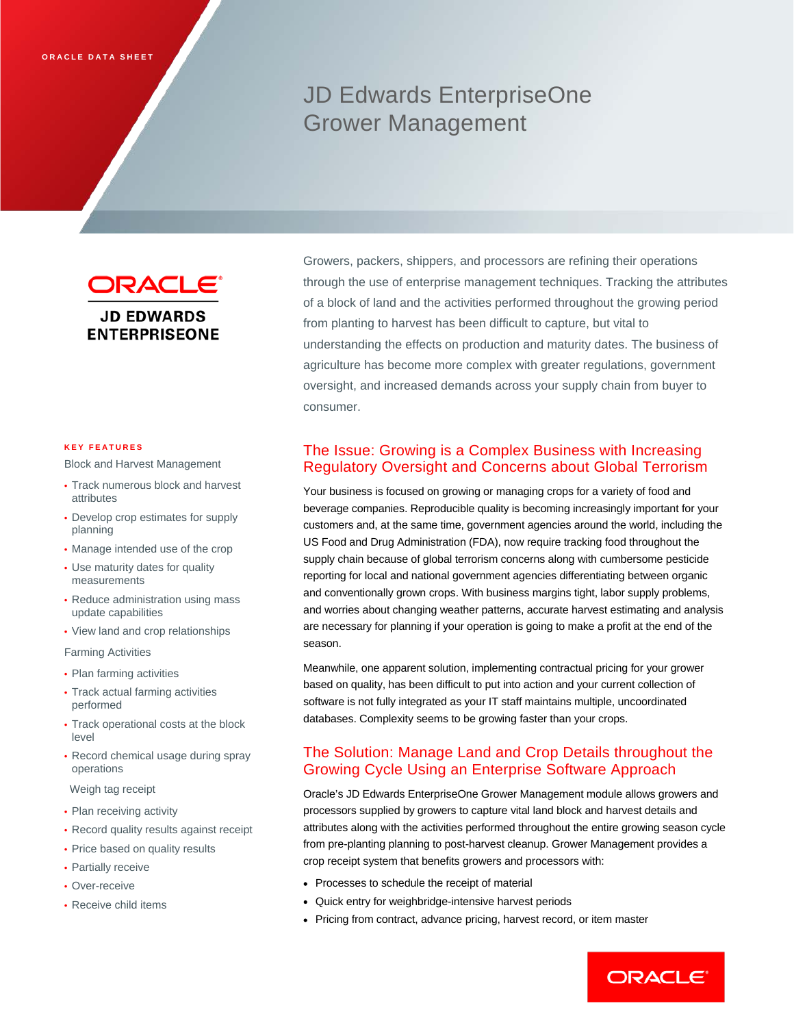# JD Edwards EnterpriseOne Grower Management

ORACLE<sup>®</sup> **JD EDWARDS ENTERPRISEONE** 

#### **KEY FEATURES**

Block and Harvest Management

- Track numerous block and harvest attributes
- Develop crop estimates for supply planning
- Manage intended use of the crop
- Use maturity dates for quality measurements
- Reduce administration using mass update capabilities
- View land and crop relationships

Farming Activities

- Plan farming activities
- Track actual farming activities performed
- Track operational costs at the block level
- Record chemical usage during spray operations
- Weigh tag receipt
- Plan receiving activity
- Record quality results against receipt
- Price based on quality results
- Partially receive
- Over-receive
- Receive child items

Growers, packers, shippers, and processors are refining their operations through the use of enterprise management techniques. Tracking the attributes of a block of land and the activities performed throughout the growing period from planting to harvest has been difficult to capture, but vital to understanding the effects on production and maturity dates. The business of agriculture has become more complex with greater regulations, government oversight, and increased demands across your supply chain from buyer to consumer.

# The Issue: Growing is a Complex Business with Increasing Regulatory Oversight and Concerns about Global Terrorism

Your business is focused on growing or managing crops for a variety of food and beverage companies. Reproducible quality is becoming increasingly important for your customers and, at the same time, government agencies around the world, including the US Food and Drug Administration (FDA), now require tracking food throughout the supply chain because of global terrorism concerns along with cumbersome pesticide reporting for local and national government agencies differentiating between organic and conventionally grown crops. With business margins tight, labor supply problems, and worries about changing weather patterns, accurate harvest estimating and analysis are necessary for planning if your operation is going to make a profit at the end of the season.

Meanwhile, one apparent solution, implementing contractual pricing for your grower based on quality, has been difficult to put into action and your current collection of software is not fully integrated as your IT staff maintains multiple, uncoordinated databases. Complexity seems to be growing faster than your crops.

# The Solution: Manage Land and Crop Details throughout the Growing Cycle Using an Enterprise Software Approach

Oracle's JD Edwards EnterpriseOne Grower Management module allows growers and processors supplied by growers to capture vital land block and harvest details and attributes along with the activities performed throughout the entire growing season cycle from pre-planting planning to post-harvest cleanup. Grower Management provides a crop receipt system that benefits growers and processors with:

- Processes to schedule the receipt of material
- Quick entry for weighbridge-intensive harvest periods
- Pricing from contract, advance pricing, harvest record, or item master

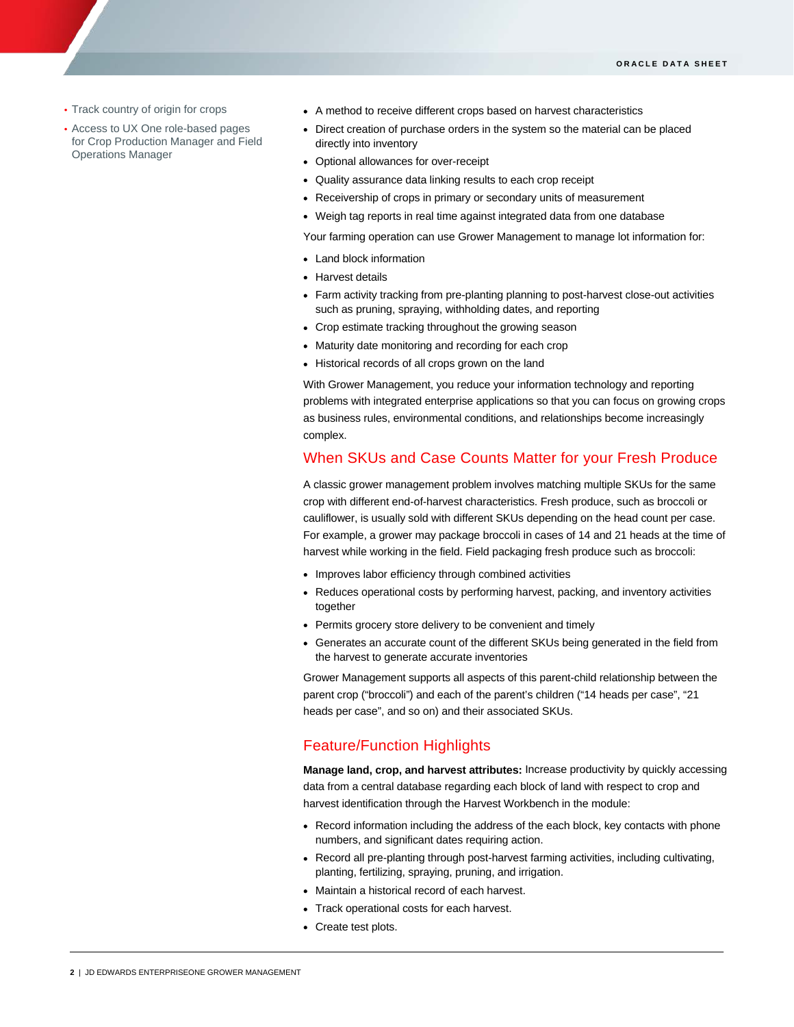• Track country of origin for crops

I

- Access to UX One role-based pages for Crop Production Manager and Field Operations Manager
- A method to receive different crops based on harvest characteristics
- Direct creation of purchase orders in the system so the material can be placed directly into inventory
- Optional allowances for over-receipt
- Quality assurance data linking results to each crop receipt
- Receivership of crops in primary or secondary units of measurement
- Weigh tag reports in real time against integrated data from one database

Your farming operation can use Grower Management to manage lot information for:

- Land block information
- Harvest details
- Farm activity tracking from pre-planting planning to post-harvest close-out activities such as pruning, spraying, withholding dates, and reporting
- Crop estimate tracking throughout the growing season
- Maturity date monitoring and recording for each crop
- Historical records of all crops grown on the land

With Grower Management, you reduce your information technology and reporting problems with integrated enterprise applications so that you can focus on growing crops as business rules, environmental conditions, and relationships become increasingly complex.

### When SKUs and Case Counts Matter for your Fresh Produce

A classic grower management problem involves matching multiple SKUs for the same crop with different end-of-harvest characteristics. Fresh produce, such as broccoli or cauliflower, is usually sold with different SKUs depending on the head count per case. For example, a grower may package broccoli in cases of 14 and 21 heads at the time of harvest while working in the field. Field packaging fresh produce such as broccoli:

- Improves labor efficiency through combined activities
- Reduces operational costs by performing harvest, packing, and inventory activities together
- Permits grocery store delivery to be convenient and timely
- Generates an accurate count of the different SKUs being generated in the field from the harvest to generate accurate inventories

Grower Management supports all aspects of this parent-child relationship between the parent crop ("broccoli") and each of the parent's children ("14 heads per case", "21 heads per case", and so on) and their associated SKUs.

## Feature/Function Highlights

**Manage land, crop, and harvest attributes:** Increase productivity by quickly accessing data from a central database regarding each block of land with respect to crop and harvest identification through the Harvest Workbench in the module:

- Record information including the address of the each block, key contacts with phone numbers, and significant dates requiring action.
- Record all pre-planting through post-harvest farming activities, including cultivating, planting, fertilizing, spraying, pruning, and irrigation.
- Maintain a historical record of each harvest.
- Track operational costs for each harvest.
- Create test plots.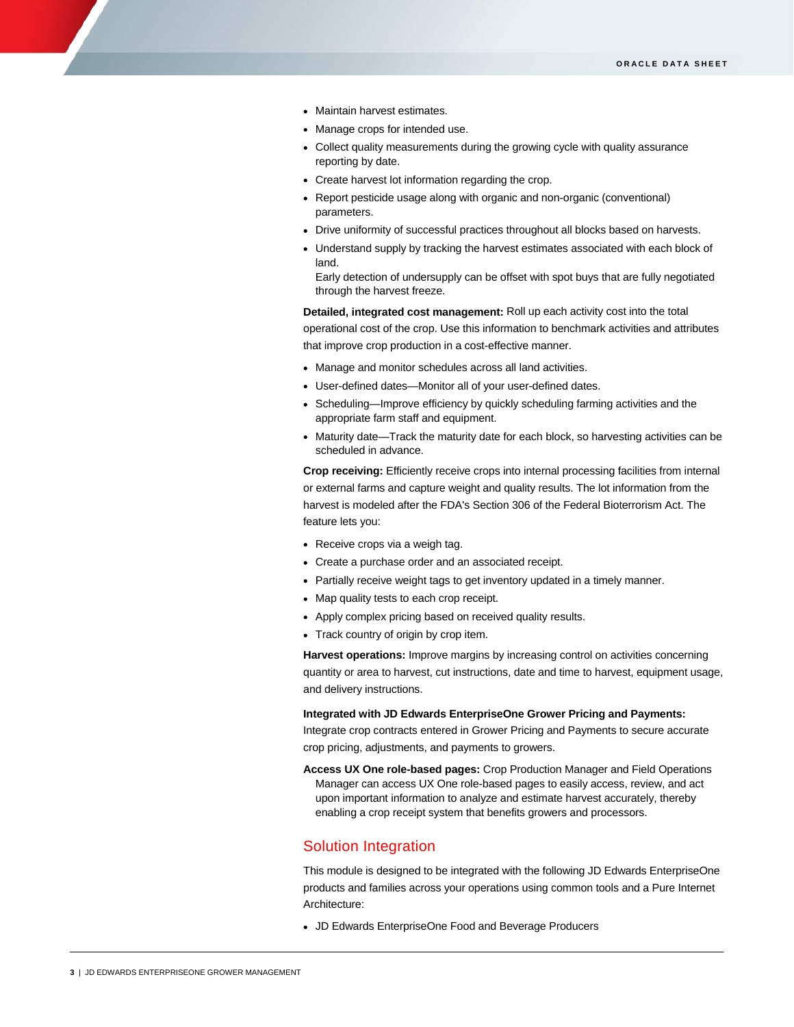- Maintain harvest estimates.
- Manage crops for intended use.
- Collect quality measurements during the growing cycle with quality assurance reporting by date.
- Create harvest lot information regarding the crop.
- Report pesticide usage along with organic and non-organic (conventional) parameters.
- Drive uniformity of successful practices throughout all blocks based on harvests.
- Understand supply by tracking the harvest estimates associated with each block of land.

Early detection of undersupply can be offset with spot buys that are fully negotiated through the harvest freeze.

**Detailed, integrated cost management:** Roll up each activity cost into the total operational cost of the crop. Use this information to benchmark activities and attributes that improve crop production in a cost-effective manner.

- Manage and monitor schedules across all land activities.
- User-defined dates—Monitor all of your user-defined dates.
- Scheduling—Improve efficiency by quickly scheduling farming activities and the appropriate farm staff and equipment.
- Maturity date—Track the maturity date for each block, so harvesting activities can be scheduled in advance.

**Crop receiving:** Efficiently receive crops into internal processing facilities from internal or external farms and capture weight and quality results. The lot information from the harvest is modeled after the FDA's Section 306 of the Federal Bioterrorism Act. The feature lets you:

- Receive crops via a weigh tag.
- Create a purchase order and an associated receipt.
- Partially receive weight tags to get inventory updated in a timely manner.
- Map quality tests to each crop receipt.
- Apply complex pricing based on received quality results.
- Track country of origin by crop item.

**Harvest operations:** Improve margins by increasing control on activities concerning quantity or area to harvest, cut instructions, date and time to harvest, equipment usage, and delivery instructions.

**Integrated with JD Edwards EnterpriseOne Grower Pricing and Payments:**

Integrate crop contracts entered in Grower Pricing and Payments to secure accurate crop pricing, adjustments, and payments to growers.

**Access UX One role-based pages:** Crop Production Manager and Field Operations Manager can access UX One role-based pages to easily access, review, and act upon important information to analyze and estimate harvest accurately, thereby enabling a crop receipt system that benefits growers and processors.

## Solution Integration

This module is designed to be integrated with the following JD Edwards EnterpriseOne products and families across your operations using common tools and a Pure Internet Architecture:

• JD Edwards EnterpriseOne Food and Beverage Producers

I